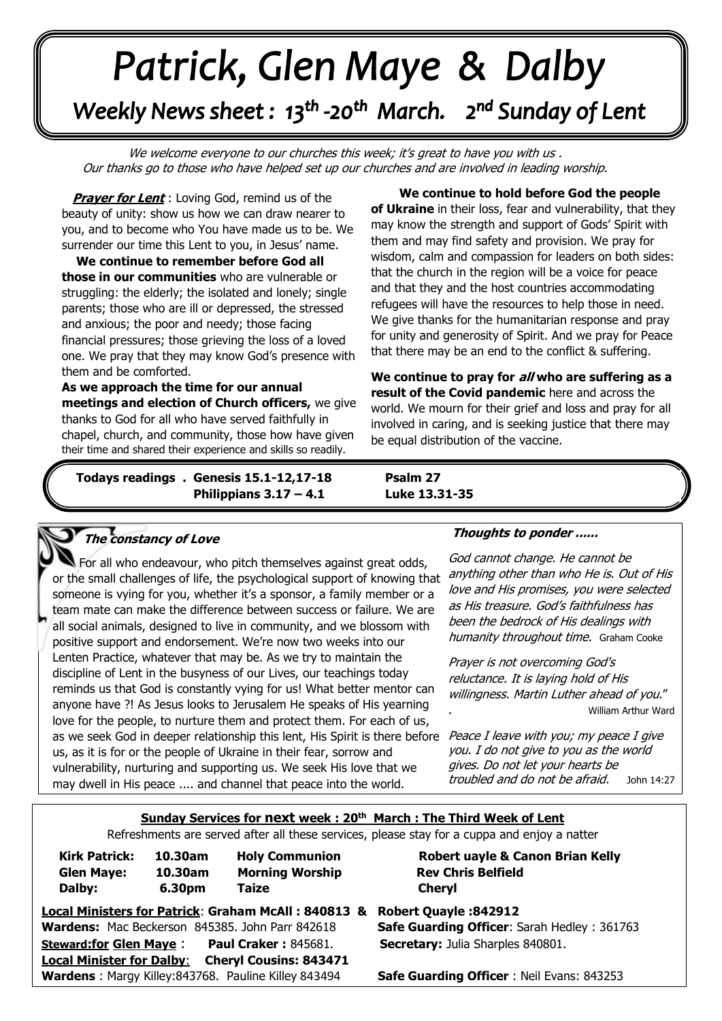# Patrick, Glen Maye & Dalby Weekly News sheet: 13<sup>th</sup> -20<sup>th</sup> March. 2<sup>nd</sup> Sunday of Lent

We welcome everyone to our churches this week; it's great to have you with us. Our thanks go to those who have helped set up our churches and are involved in leading worship.

**Prayer for Lent**: Loving God, remind us of the beauty of unity: show us how we can draw nearer to you, and to become who You have made us to be. We surrender our time this Lent to you, in Jesus' name.

and anxious, the poor and needy, those racing<br>financial pressures; those grieving the loss of a loved one. We pray that they may know God's presence with them and he comforted **. We continue to remember before God all those in our communities** who are vulnerable or struggling: the elderly; the isolated and lonely; single parents; those who are ill or depressed, the stressed and anxious; the poor and needy; those facing them and be comforted.

 **As we approach the time for our annual meetings and election of Church officers,** we give thanks to God for all who have served faithfully in chapel, church, and community, those how have given their time and shared their experience and skills so readily.

*June: Trinity Sunday* **Todays readings . Genesis 15.1-12,17-18 Psalm 27 Philippians 3.17 – 4.1 Luke 13.31-35**

 **We continue to hold before God the people of Ukraine** in their loss, fear and vulnerability, that they may know the strength and support of Gods' Spirit with them and may find safety and provision. We pray for wisdom, calm and compassion for leaders on both sides: that the church in the region will be a voice for peace and that they and the host countries accommodating refugees will have the resources to help those in need. We give thanks for the humanitarian response and pray for unity and generosity of Spirit. And we pray for Peace that there may be an end to the conflict & suffering.

**We continue to pray for all who are suffering as a result of the Covid pandemic** here and across the world. We mourn for their grief and loss and pray for all involved in caring, and is seeking justice that there may be equal distribution of the vaccine.

#### **The constancy of Love**

 or the small challenges of life, the psychological support of knowing that someone is vying for you, whether it's a sponsor, a family member or a  all social animals, designed to live in community, and we blossom with  discipline of Lent in the busyness of our Lives, our teachings today  reminds us that God is constantly vying for us! What better mentor can For all who endeavour, who pitch themselves against great odds, team mate can make the difference between success or failure. We are positive support and endorsement. We're now two weeks into our Lenten Practice, whatever that may be. As we try to maintain the anyone have ?! As Jesus looks to Jerusalem He speaks of His yearning love for the people, to nurture them and protect them. For each of us, as we seek God in deeper relationship this lent, His Spirit is there before *Peace I leave with you; my peace I give* us, as it is for or the people of Ukraine in their fear, sorrow and vulnerability, nurturing and supporting us. We seek His love that we may dwell in His peace .... and channel that peace into the world.

### **Thoughts to ponder ......**

God cannot change. He cannot be anything other than who He is. Out of His love and His promises, you were selected as His treasure. God's faithfulness has been the bedrock of His dealings with humanity throughout time. Graham Cooke

Prayer is not overcoming God's reluctance. It is laying hold of His willingness. Martin Luther ahead of you." . William Arthur Ward

you. I do not give to you as the world gives. Do not let your hearts be troubled and do not be afraid.John 14:27

#### **Sunday Services for next week : 20th March : The Third Week of Lent**

Refreshments are served after all these services, please stay for a cuppa and enjoy a natter

| <b>Kirk Patrick:</b> | 10.30am | <b>Holy Communion</b>  | Rober         |
|----------------------|---------|------------------------|---------------|
| <b>Glen Maye:</b>    | 10.30am | <b>Morning Worship</b> | <b>Rev Ch</b> |
| Dalby:               | 6.30pm  | Taize                  | <b>Cheryl</b> |

**Robert uayle & Canon Brian Kelly 10.30am Morning Worship Rev Chris Belfield**

**Local Ministers for Patrick**: **Graham McAll : 840813 & Robert Quayle :842912 Wardens:** Mac Beckerson 845385. John Parr 842618 **Safe Guarding Officer**: Sarah Hedley : 361763 **Steward:for Glen Maye** : **Paul Craker :** 845681. **Secretary:** Julia Sharples 840801. **Local Minister for Dalby**: **Cheryl Cousins: 843471 Wardens** : Margy Killey:843768. Pauline Killey 843494 **Safe Guarding Officer** : Neil Evans: 843253